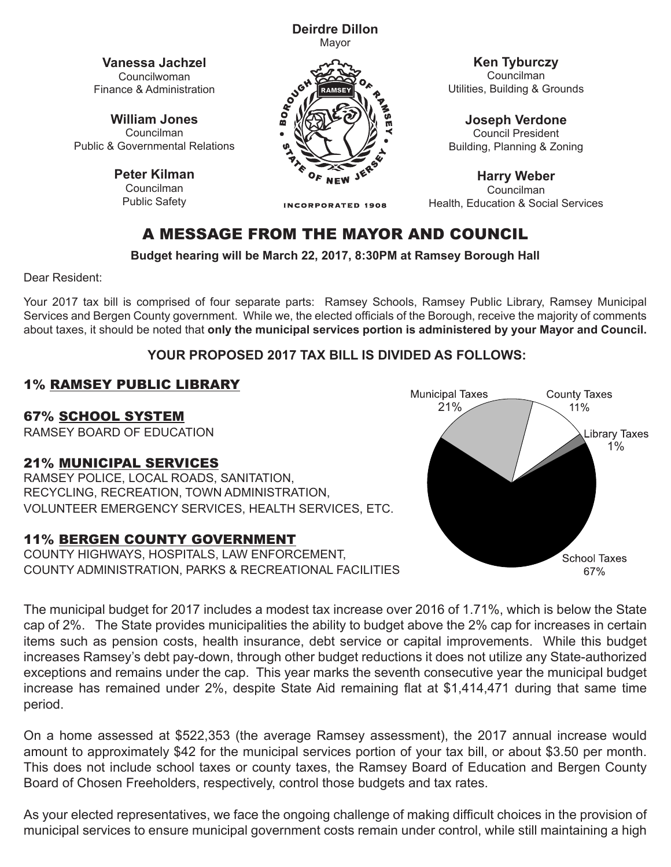**Deirdre Dillon** Mayor

**Vanessa Jachzel** Councilwoman Finance & Administration

**William Jones** Councilman Public & Governmental Relations

> **Peter Kilman** Councilman Public Safety



**Ken Tyburczy**

Councilman Utilities, Building & Grounds

**Joseph Verdone** Council President Building, Planning & Zoning

**Harry Weber** Councilman Health, Education & Social Services

# A MESSAGE FROM THE MAYOR AND COUNCIL

**INCORPORATED 1908** 

**Budget hearing will be March 22, 2017, 8:30PM at Ramsey Borough Hall**

Dear Resident:

Your 2017 tax bill is comprised of four separate parts: Ramsey Schools, Ramsey Public Library, Ramsey Municipal Services and Bergen County government. While we, the elected officials of the Borough, receive the majority of comments about taxes, it should be noted that **only the municipal services portion is administered by your Mayor and Council.**

### **YOUR PROPOSED 2017 TAX BILL IS DIVIDED AS FOLLOWS:**

### 1% RAMSEY PUBLIC LIBRARY

67% SCHOOL SYSTEM

RAMSEY BOARD OF EDUCATION

#### 21% MUNICIPAL SERVICES

RAMSEY POLICE, LOCAL ROADS, SANITATION, RECYCLING, RECREATION, TOWN ADMINISTRATION, VOLUNTEER EMERGENCY SERVICES, HEALTH SERVICES, ETC.

### 11% BERGEN COUNTY GOVERNMENT

COUNTY HIGHWAYS, HOSPITALS, LAW ENFORCEMENT, COUNTY ADMINISTRATION, PARKS & RECREATIONAL FACILITIES



The municipal budget for 2017 includes a modest tax increase over 2016 of 1.71%, which is below the State The municipal budget for 2017 includes a modest tax increase over 2016 of 1.71%, which is below the State<br>cap of 2%. The State provides municipalities the ability to budget above the 2% cap for increases in certain<br>items s items such as pension costs, health insurance, debt service or capital improvements. While this budget increases Ramsey's debt pay-down, through other budget reductions it does not utilize any State-authorized exceptions and remains under the cap. This year marks the seventh consecutive year the municipal budget increase has remained under 2%, despite State Aid remaining flat at \$1,414,471 during that same time period.

On a home assessed at \$522,353 (the average Ramsey assessment), the 2017 annual increase would amount to approximately \$42 for the municipal services portion of your tax bill, or about \$3.50 per month. This does not include school taxes or county taxes, the Ramsey Board of Education and Bergen County Board of Chosen Freeholders, respectively, control those budgets and tax rates.

As your elected representatives, we face the ongoing challenge of making difficult choices in the provision of municipal services to ensure municipal government costs remain under control, while still maintaining a high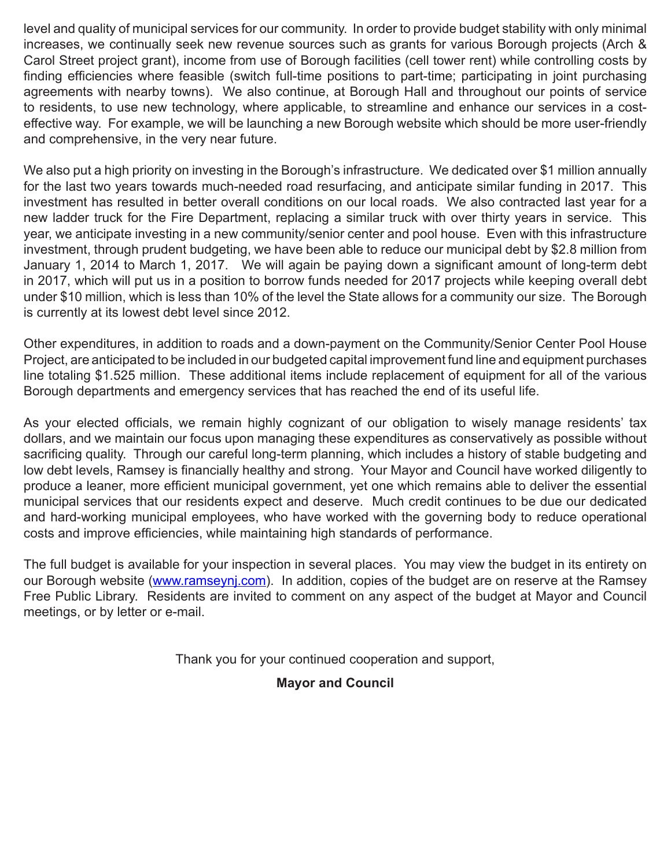level and quality of municipal services for our community. In order to provide budget stability with only minimal increases, we continually seek new revenue sources such as grants for various Borough projects (Arch & Carol Street project grant), income from use of Borough facilities (cell tower rent) while controlling costs by finding efficiencies where feasible (switch full-time positions to part-time; participating in joint purchasing agreements with nearby towns). We also continue, at Borough Hall and throughout our points of service to residents, to use new technology, where applicable, to streamline and enhance our services in a costeffective way. For example, we will be launching a new Borough website which should be more user-friendly and comprehensive, in the very near future.

We also put a high priority on investing in the Borough's infrastructure. We dedicated over \$1 million annually for the last two years towards much-needed road resurfacing, and anticipate similar funding in 2017. This investment has resulted in better overall conditions on our local roads. We also contracted last year for a new ladder truck for the Fire Department, replacing a similar truck with over thirty years in service. This year, we anticipate investing in a new community/senior center and pool house. Even with this infrastructure investment, through prudent budgeting, we have been able to reduce our municipal debt by \$2.8 million from January 1, 2014 to March 1, 2017. We will again be paying down a significant amount of long-term debt in 2017, which will put us in a position to borrow funds needed for 2017 projects while keeping overall debt under \$10 million, which is less than 10% of the level the State allows for a community our size. The Borough is currently at its lowest debt level since 2012.

Other expenditures, in addition to roads and a down-payment on the Community/Senior Center Pool House Project, are anticipated to be included in our budgeted capital improvement fund line and equipment purchases line totaling \$1.525 million. These additional items include replacement of equipment for all of the various Borough departments and emergency services that has reached the end of its useful life.

As your elected officials, we remain highly cognizant of our obligation to wisely manage residents' tax dollars, and we maintain our focus upon managing these expenditures as conservatively as possible without sacrificing quality. Through our careful long-term planning, which includes a history of stable budgeting and low debt levels, Ramsey is financially healthy and strong. Your Mayor and Council have worked diligently to produce a leaner, more efficient municipal government, yet one which remains able to deliver the essential municipal services that our residents expect and deserve. Much credit continues to be due our dedicated and hard-working municipal employees, who have worked with the governing body to reduce operational costs and improve efficiencies, while maintaining high standards of performance.

The full budget is available for your inspection in several places. You may view the budget in its entirety on our Borough website (www.ramseynj.com). In addition, copies of the budget are on reserve at the Ramsey Free Public Library. Residents are invited to comment on any aspect of the budget at Mayor and Council meetings, or by letter or e-mail.

Thank you for your continued cooperation and support,

#### **Mayor and Council**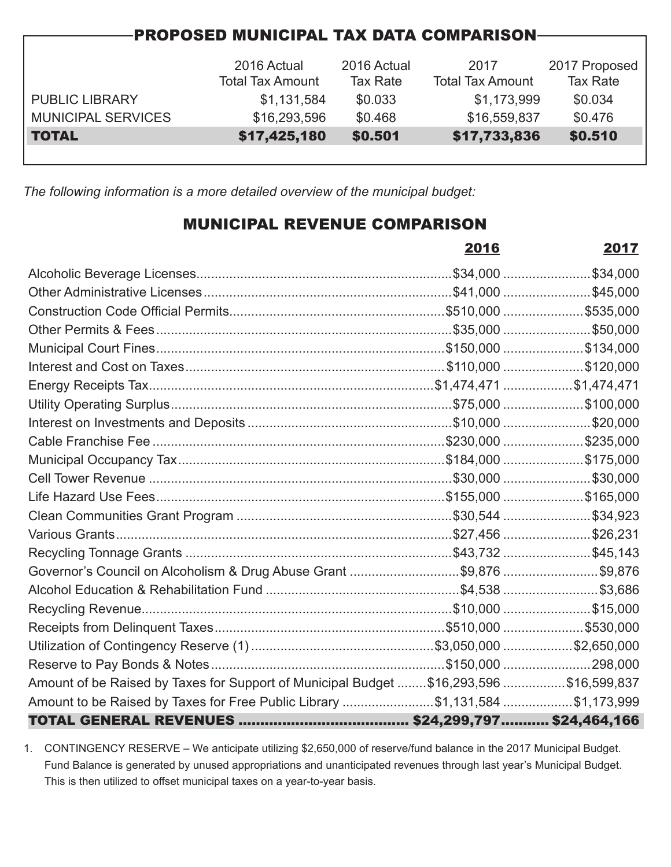| <b>PROPOSED MUNICIPAL TAX DATA COMPARISON-</b> |                         |                 |                         |               |  |  |  |
|------------------------------------------------|-------------------------|-----------------|-------------------------|---------------|--|--|--|
|                                                |                         |                 |                         |               |  |  |  |
|                                                | 2016 Actual             | 2016 Actual     | 2017                    | 2017 Proposed |  |  |  |
|                                                | <b>Total Tax Amount</b> | <b>Tax Rate</b> | <b>Total Tax Amount</b> | Tax Rate      |  |  |  |
| <b>PUBLIC LIBRARY</b>                          | \$1,131,584             | \$0.033         | \$1,173,999             | \$0.034       |  |  |  |
| <b>MUNICIPAL SERVICES</b>                      | \$16,293,596            | \$0.468         | \$16,559,837            | \$0.476       |  |  |  |
| <b>TOTAL</b>                                   | \$17,425,180            | \$0.501         | \$17,733,836            | \$0.510       |  |  |  |
|                                                |                         |                 |                         |               |  |  |  |

*The following information is a more detailed overview of the municipal budget:*

## MUNICIPAL REVENUE COMPARISON

|                                                                                        | 2016 | 2017 |
|----------------------------------------------------------------------------------------|------|------|
|                                                                                        |      |      |
|                                                                                        |      |      |
|                                                                                        |      |      |
|                                                                                        |      |      |
|                                                                                        |      |      |
|                                                                                        |      |      |
|                                                                                        |      |      |
|                                                                                        |      |      |
|                                                                                        |      |      |
|                                                                                        |      |      |
|                                                                                        |      |      |
|                                                                                        |      |      |
|                                                                                        |      |      |
|                                                                                        |      |      |
|                                                                                        |      |      |
|                                                                                        |      |      |
| Governor's Council on Alcoholism & Drug Abuse Grant \$9,876 \$9,876                    |      |      |
|                                                                                        |      |      |
|                                                                                        |      |      |
|                                                                                        |      |      |
|                                                                                        |      |      |
|                                                                                        |      |      |
| Amount of be Raised by Taxes for Support of Municipal Budget \$16,293,596 \$16,599,837 |      |      |
| Amount to be Raised by Taxes for Free Public Library \$1,131,584 \$1,173,999           |      |      |
|                                                                                        |      |      |

1. CONTINGENCY RESERVE – We anticipate utilizing \$2,650,000 of reserve/fund balance in the 2017 Municipal Budget. Fund Balance is generated by unused appropriations and unanticipated revenues through last year's Municipal Budget. This is then utilized to offset municipal taxes on a year-to-year basis.